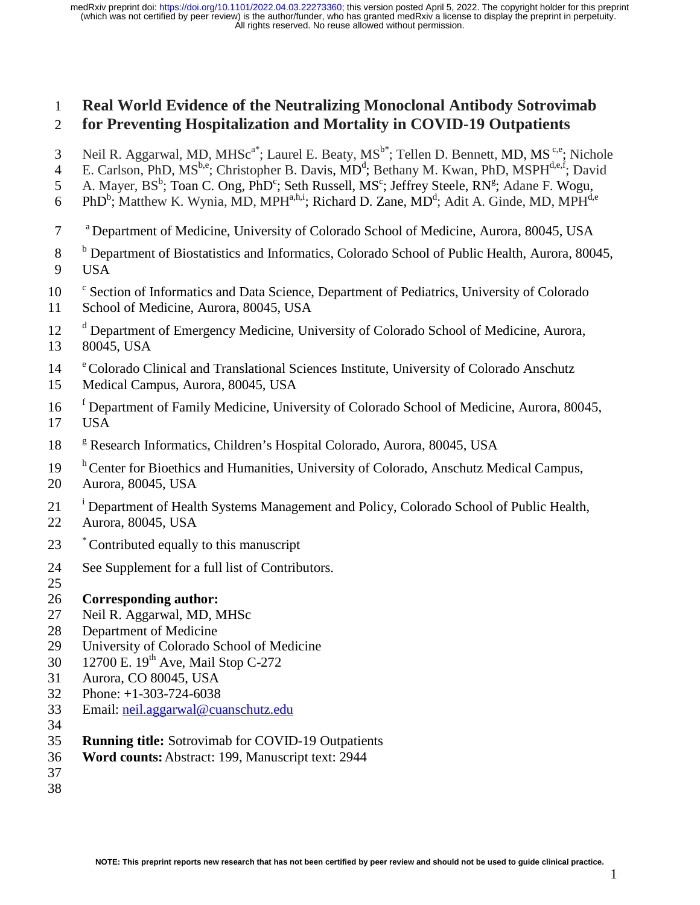# 1 **Real World Evidence of the Neutralizing Monoclonal Antibody Sotrovimab**  2 **for Preventing Hospitalization and Mortality in COVID-19 Outpatients**

- 3 Neil R. Aggarwal, MD, MHSc<sup>a\*</sup>; Laurel E. Beaty, MS<sup>b\*</sup>; Tellen D. Bennett, MD, MS<sup>c,e</sup>; Nichole
- 4 E. Carlson, PhD, MS<sup>b,e</sup>; Christopher B. Davis, MD<sup>d</sup>; Bethany M. Kwan, PhD, MSPH<sup>d,e,f</sup>; David
- 5 A. Mayer, BS<sup>b</sup>; Toan C. Ong, PhD<sup>c</sup>; Seth Russell, MS<sup>c</sup>; Jeffrey Steele, RN<sup>g</sup>; Adane F. Wogu,
- 6 PhD<sup>b</sup>; Matthew K. Wynia, MD, MPH<sup>a,h,i</sup>; Richard D. Zane, MD<sup>d</sup>; Adit A. Ginde, MD, MPH<sup>d,e</sup>
- a 7 Department of Medicine, University of Colorado School of Medicine, Aurora, 80045, USA
- <sup>b</sup> 8 Department of Biostatistics and Informatics, Colorado School of Public Health, Aurora, 80045, 9 USA
- 10 <sup>c</sup> Section of Informatics and Data Science, Department of Pediatrics, University of Colorado
- 11 School of Medicine, Aurora, 80045, USA
- 12 <sup>d</sup> Department of Emergency Medicine, University of Colorado School of Medicine, Aurora,
- 13 80045, USA
- <sup>e</sup> Colorado Clinical and Translational Sciences Institute, University of Colorado Anschutz
- 15 Medical Campus, Aurora, 80045, USA
- <sup>f</sup> 16 Department of Family Medicine, University of Colorado School of Medicine, Aurora, 80045, 17 USA
- 18 <sup>8</sup> Research Informatics, Children's Hospital Colorado, Aurora, 80045, USA
- <sup>h</sup> Center for Bioethics and Humanities, University of Colorado, Anschutz Medical Campus,
- 20 Aurora, 80045, USA
- <sup>i</sup> Department of Health Systems Management and Policy, Colorado School of Public Health,
- 22 Aurora, 80045, USA
- 23 Contributed equally to this manuscript
- 24 See Supplement for a full list of Contributors.
- 25
- 26 **Corresponding author:**
- 27 Neil R. Aggarwal, MD, MHSc
- 28 Department of Medicine
- 29 University of Colorado School of Medicine
- 30 12700 E.  $19^{th}$  Ave, Mail Stop C-272
- 31 Aurora, CO 80045, USA
- 32 Phone: +1-303-724-6038
- 33 Email: neil.aggarwal@cuanschutz.edu
- 34
- 35 **Running title:** Sotrovimab for COVID-19 Outpatients
- 36 **Word counts:** Abstract: 199, Manuscript text: 2944
- 37
- 38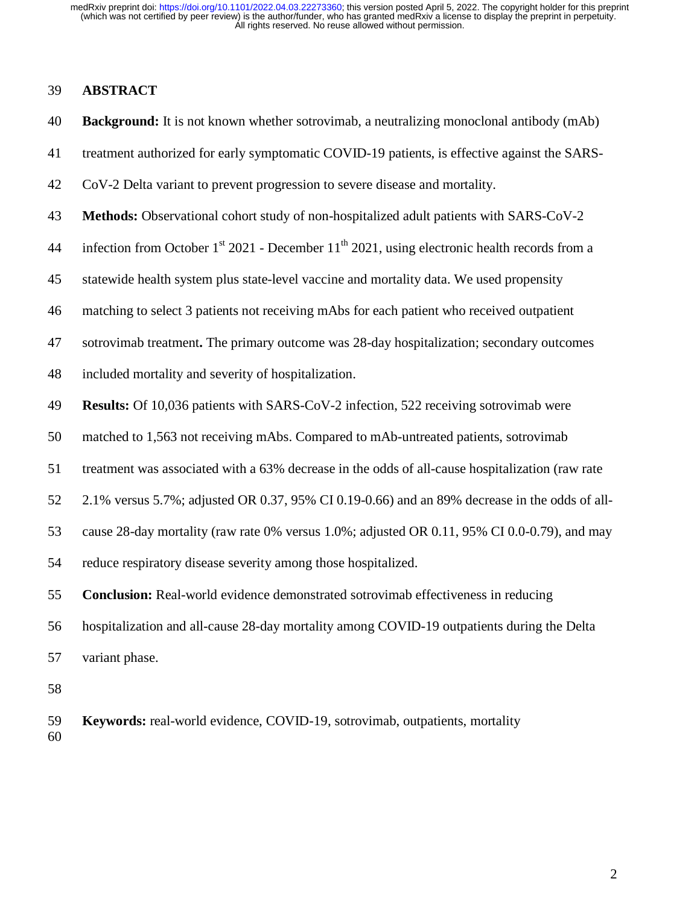#### 39 **ABSTRACT**

- 40 **Background:** It is not known whether sotrovimab, a neutralizing monoclonal antibody (mAb)
- 41 treatment authorized for early symptomatic COVID-19 patients, is effective against the SARS-
- 42 CoV-2 Delta variant to prevent progression to severe disease and mortality.
- 43 **Methods:** Observational cohort study of non-hospitalized adult patients with SARS-CoV-2
- 44 infection from October  $1<sup>st</sup>$  2021 December  $11<sup>th</sup>$  2021, using electronic health records from a
- 45 statewide health system plus state-level vaccine and mortality data. We used propensity
- 46 matching to select 3 patients not receiving mAbs for each patient who received outpatient
- 47 sotrovimab treatment**.** The primary outcome was 28-day hospitalization; secondary outcomes
- 48 included mortality and severity of hospitalization.
- 49 **Results:** Of 10,036 patients with SARS-CoV-2 infection, 522 receiving sotrovimab were
- 50 matched to 1,563 not receiving mAbs. Compared to mAb-untreated patients, sotrovimab
- 51 treatment was associated with a 63% decrease in the odds of all-cause hospitalization (raw rate
- 52 2.1% versus 5.7%; adjusted OR 0.37, 95% CI 0.19-0.66) and an 89% decrease in the odds of all-
- 53 cause 28-day mortality (raw rate 0% versus 1.0%; adjusted OR 0.11, 95% CI 0.0-0.79), and may
- 54 reduce respiratory disease severity among those hospitalized.
- 55 **Conclusion:** Real-world evidence demonstrated sotrovimab effectiveness in reducing
- 56 hospitalization and all-cause 28-day mortality among COVID-19 outpatients during the Delta
- 57 variant phase.
- 58
- 59 **Keywords:** real-world evidence, COVID-19, sotrovimab, outpatients, mortality 60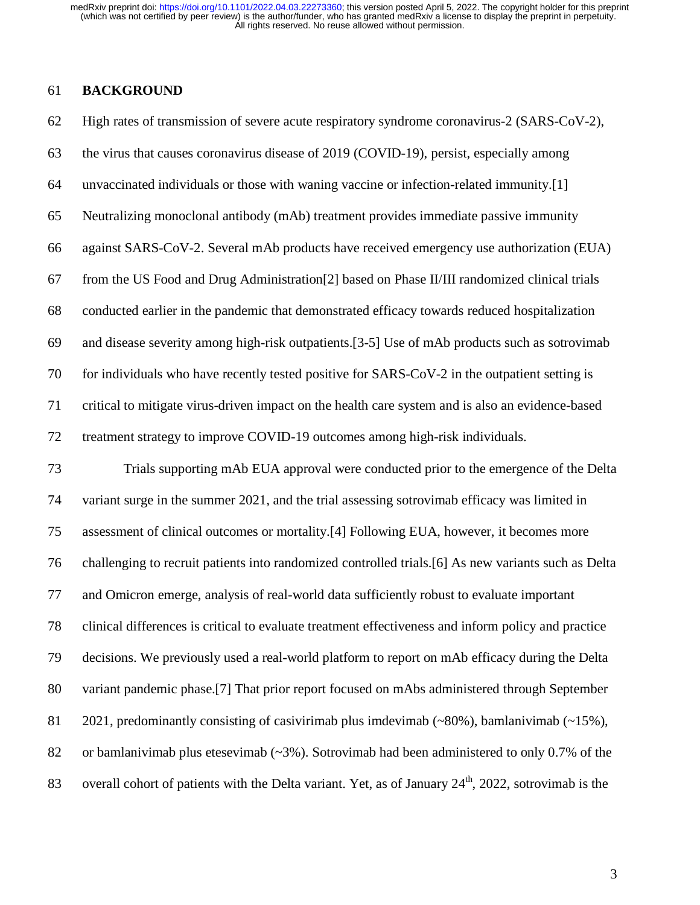# 61 **BACKGROUND**

| 62 | High rates of transmission of severe acute respiratory syndrome coronavirus-2 (SARS-CoV-2),                      |
|----|------------------------------------------------------------------------------------------------------------------|
| 63 | the virus that causes coronavirus disease of 2019 (COVID-19), persist, especially among                          |
| 64 | unvaccinated individuals or those with waning vaccine or infection-related immunity.[1]                          |
| 65 | Neutralizing monoclonal antibody (mAb) treatment provides immediate passive immunity                             |
| 66 | against SARS-CoV-2. Several mAb products have received emergency use authorization (EUA)                         |
| 67 | from the US Food and Drug Administration <sup>[2]</sup> based on Phase II/III randomized clinical trials         |
| 68 | conducted earlier in the pandemic that demonstrated efficacy towards reduced hospitalization                     |
| 69 | and disease severity among high-risk outpatients.[3-5] Use of mAb products such as sotrovimab                    |
| 70 | for individuals who have recently tested positive for SARS-CoV-2 in the outpatient setting is                    |
| 71 | critical to mitigate virus-driven impact on the health care system and is also an evidence-based                 |
| 72 | treatment strategy to improve COVID-19 outcomes among high-risk individuals.                                     |
| 73 | Trials supporting mAb EUA approval were conducted prior to the emergence of the Delta                            |
| 74 | variant surge in the summer 2021, and the trial assessing sotrovimab efficacy was limited in                     |
| 75 | assessment of clinical outcomes or mortality.[4] Following EUA, however, it becomes more                         |
| 76 | challenging to recruit patients into randomized controlled trials.[6] As new variants such as Delta              |
| 77 | and Omicron emerge, analysis of real-world data sufficiently robust to evaluate important                        |
| 78 | clinical differences is critical to evaluate treatment effectiveness and inform policy and practice              |
| 79 | decisions. We previously used a real-world platform to report on mAb efficacy during the Delta                   |
| 80 | variant pandemic phase.[7] That prior report focused on mAbs administered through September                      |
| 81 | 2021, predominantly consisting of casivirimab plus imdevimab $(\sim 80\%)$ , bamlanivimab $(\sim 15\%)$ ,        |
| 82 | or bamlanivimab plus etesevimab $(\sim 3\%)$ . Sotrovimab had been administered to only 0.7% of the              |
| 83 | overall cohort of patients with the Delta variant. Yet, as of January $24^{\text{th}}$ , 2022, sotrovimab is the |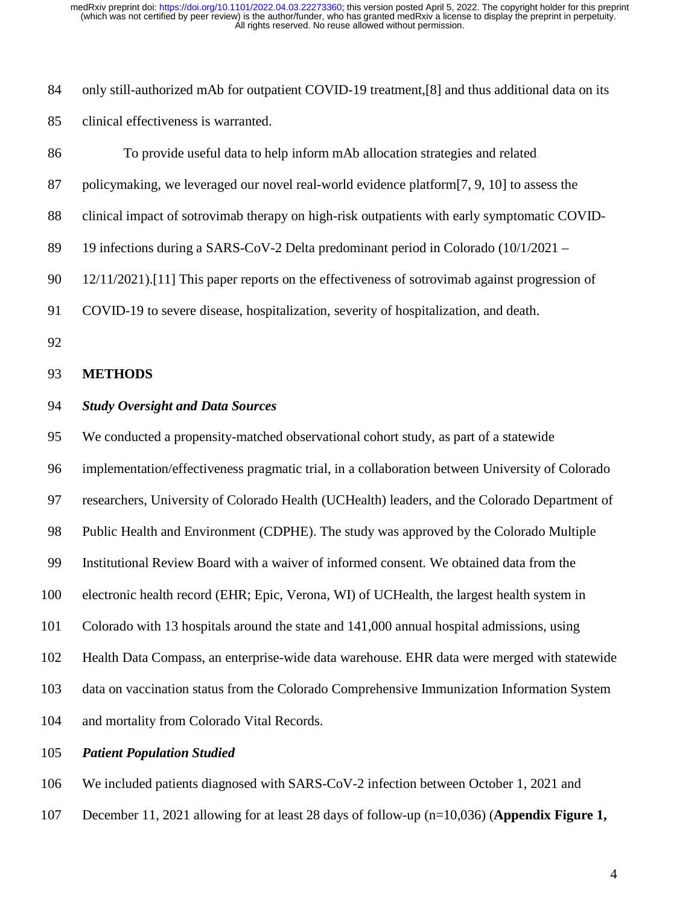84 only still-authorized mAb for outpatient COVID-19 treatment, [8] and thus additional data on its 85 clinical effectiveness is warranted.

| 86 | To provide useful data to help inform mAb allocation strategies and related                     |
|----|-------------------------------------------------------------------------------------------------|
| 87 | policymaking, we leveraged our novel real-world evidence platform[7, 9, 10] to assess the       |
| 88 | clinical impact of sotrovimab therapy on high-risk outpatients with early symptomatic COVID-    |
| 89 | 19 infections during a SARS-CoV-2 Delta predominant period in Colorado (10/1/2021 –             |
| 90 | 12/11/2021). [11] This paper reports on the effectiveness of sotrovimab against progression of  |
| 91 | COVID-19 to severe disease, hospitalization, severity of hospitalization, and death.            |
| 92 |                                                                                                 |
| 93 | <b>METHODS</b>                                                                                  |
| 94 | <b>Study Oversight and Data Sources</b>                                                         |
| 95 | We conducted a propensity-matched observational cohort study, as part of a statewide            |
| 96 | implementation/effectiveness pragmatic trial, in a collaboration between University of Colorado |
| 97 | researchers, University of Colorado Health (UCHealth) leaders, and the Colorado Department of   |
|    |                                                                                                 |

98 Public Health and Environment (CDPHE). The study was approved by the Colorado Multiple

99 Institutional Review Board with a waiver of informed consent. We obtained data from the

100 electronic health record (EHR; Epic, Verona, WI) of UCHealth, the largest health system in

101 Colorado with 13 hospitals around the state and 141,000 annual hospital admissions, using

102 Health Data Compass, an enterprise-wide data warehouse. EHR data were merged with statewide

103 data on vaccination status from the Colorado Comprehensive Immunization Information System

104 and mortality from Colorado Vital Records.

105 *Patient Population Studied*

106 We included patients diagnosed with SARS-CoV-2 infection between October 1, 2021 and

107 December 11, 2021 allowing for at least 28 days of follow-up (n=10,036) (**Appendix Figure 1,**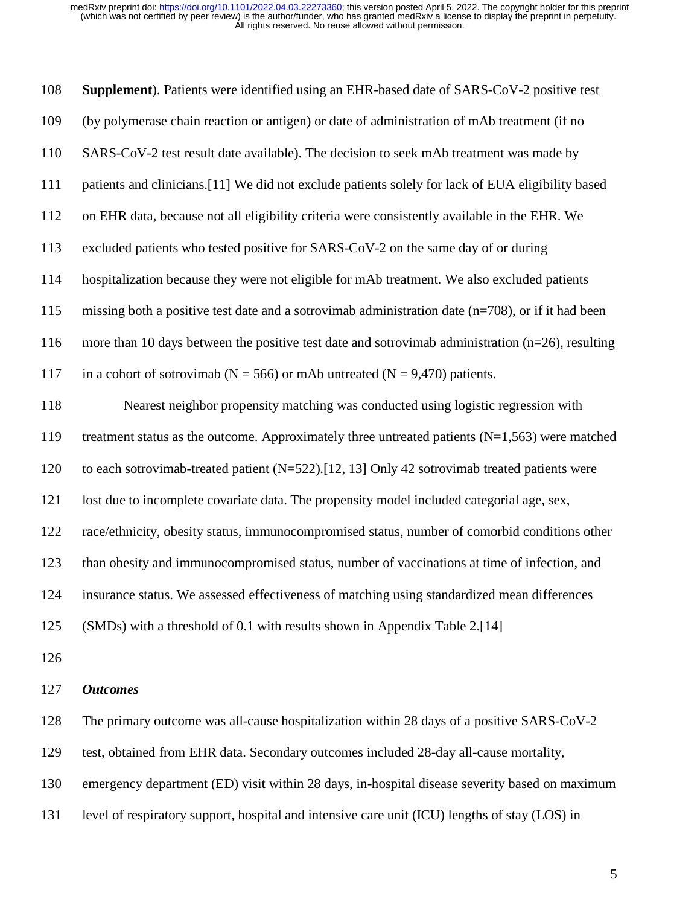| 108 | <b>Supplement</b> ). Patients were identified using an EHR-based date of SARS-CoV-2 positive test    |
|-----|------------------------------------------------------------------------------------------------------|
| 109 | (by polymerase chain reaction or antigen) or date of administration of mAb treatment (if no          |
| 110 | SARS-CoV-2 test result date available). The decision to seek mAb treatment was made by               |
| 111 | patients and clinicians.[11] We did not exclude patients solely for lack of EUA eligibility based    |
| 112 | on EHR data, because not all eligibility criteria were consistently available in the EHR. We         |
| 113 | excluded patients who tested positive for SARS-CoV-2 on the same day of or during                    |
| 114 | hospitalization because they were not eligible for mAb treatment. We also excluded patients          |
| 115 | missing both a positive test date and a sotrovimab administration date $(n=708)$ , or if it had been |
| 116 | more than 10 days between the positive test date and sotrovimab administration ( $n=26$ ), resulting |
| 117 | in a cohort of sotrovimab ( $N = 566$ ) or mAb untreated ( $N = 9,470$ ) patients.                   |
| 118 | Nearest neighbor propensity matching was conducted using logistic regression with                    |
| 119 | treatment status as the outcome. Approximately three untreated patients $(N=1,563)$ were matched     |
| 120 | to each sotrovimab-treated patient (N=522).[12, 13] Only 42 sotrovimab treated patients were         |
| 121 | lost due to incomplete covariate data. The propensity model included categorial age, sex,            |
| 122 | race/ethnicity, obesity status, immunocompromised status, number of comorbid conditions other        |
| 123 | than obesity and immunocompromised status, number of vaccinations at time of infection, and          |
| 124 | insurance status. We assessed effectiveness of matching using standardized mean differences          |
| 125 | (SMDs) with a threshold of 0.1 with results shown in Appendix Table 2.[14]                           |
| 126 |                                                                                                      |
| 127 | <b>Outcomes</b>                                                                                      |
| 128 | The primary outcome was all-cause hospitalization within 28 days of a positive SARS-CoV-2            |

129 test, obtained from EHR data. Secondary outcomes included 28-day all-cause mortality,

130 emergency department (ED) visit within 28 days, in-hospital disease severity based on maximum

131 level of respiratory support, hospital and intensive care unit (ICU) lengths of stay (LOS) in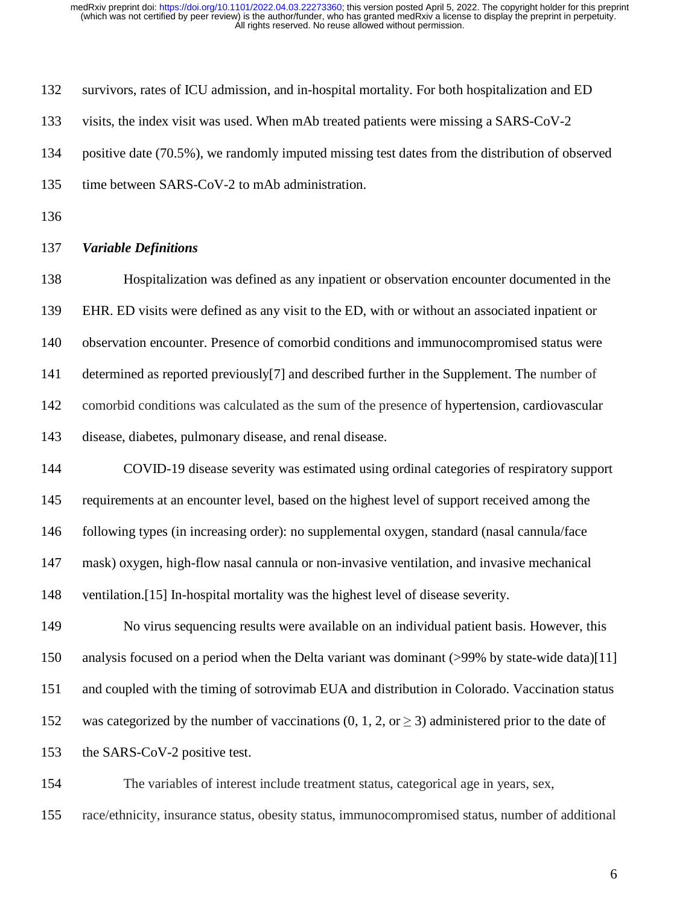| 132 | survivors, rates of ICU admission, and in-hospital mortality. For both hospitalization and ED                 |
|-----|---------------------------------------------------------------------------------------------------------------|
| 133 | visits, the index visit was used. When mAb treated patients were missing a SARS-CoV-2                         |
| 134 | positive date (70.5%), we randomly imputed missing test dates from the distribution of observed               |
| 135 | time between SARS-CoV-2 to mAb administration.                                                                |
| 136 |                                                                                                               |
| 137 | <b>Variable Definitions</b>                                                                                   |
| 138 | Hospitalization was defined as any inpatient or observation encounter documented in the                       |
| 139 | EHR. ED visits were defined as any visit to the ED, with or without an associated inpatient or                |
| 140 | observation encounter. Presence of comorbid conditions and immunocompromised status were                      |
| 141 | determined as reported previously <sup>[7]</sup> and described further in the Supplement. The number of       |
| 142 | comorbid conditions was calculated as the sum of the presence of hypertension, cardiovascular                 |
| 143 | disease, diabetes, pulmonary disease, and renal disease.                                                      |
| 144 | COVID-19 disease severity was estimated using ordinal categories of respiratory support                       |
| 145 | requirements at an encounter level, based on the highest level of support received among the                  |
| 146 | following types (in increasing order): no supplemental oxygen, standard (nasal cannula/face                   |
| 147 | mask) oxygen, high-flow nasal cannula or non-invasive ventilation, and invasive mechanical                    |
| 148 | ventilation.[15] In-hospital mortality was the highest level of disease severity.                             |
| 149 | No virus sequencing results were available on an individual patient basis. However, this                      |
| 150 | analysis focused on a period when the Delta variant was dominant (>99% by state-wide data)[11]                |
| 151 | and coupled with the timing of sotrovimab EUA and distribution in Colorado. Vaccination status                |
| 152 | was categorized by the number of vaccinations $(0, 1, 2, \text{or} \geq 3)$ administered prior to the date of |
| 153 | the SARS-CoV-2 positive test.                                                                                 |
| 154 | The variables of interest include treatment status, categorical age in years, sex,                            |
|     |                                                                                                               |

155 race/ethnicity, insurance status, obesity status, immunocompromised status, number of additional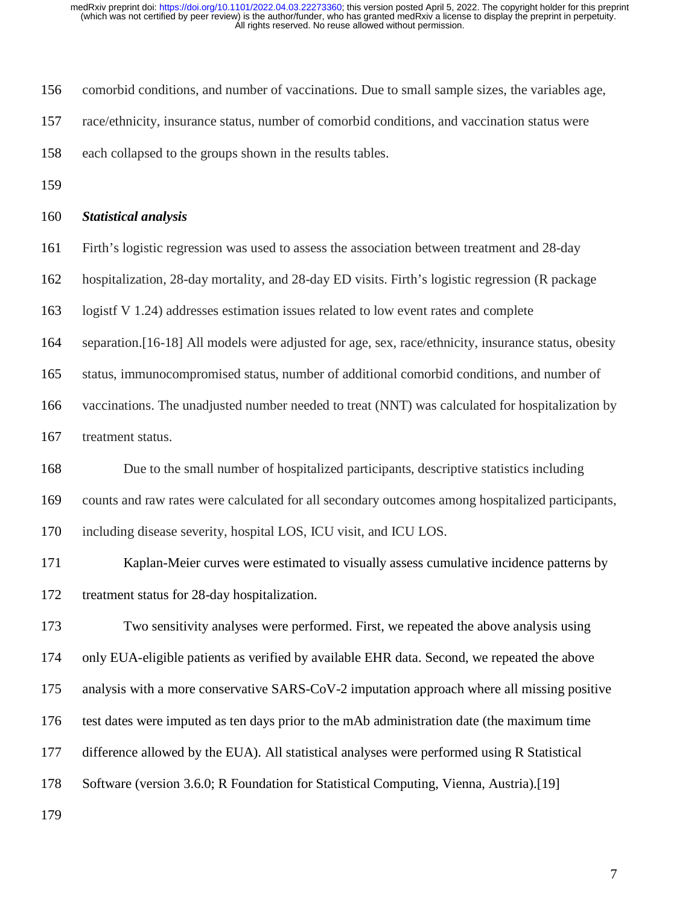- 156 comorbid conditions, and number of vaccinations. Due to small sample sizes, the variables age,
- 157 race/ethnicity, insurance status, number of comorbid conditions, and vaccination status were
- 158 each collapsed to the groups shown in the results tables.
- 159

#### 160 *Statistical analysis*

- 161 Firth's logistic regression was used to assess the association between treatment and 28-day
- 162 hospitalization, 28-day mortality, and 28-day ED visits. Firth's logistic regression (R package
- 163 logistf V 1.24) addresses estimation issues related to low event rates and complete
- 164 separation.[16-18] All models were adjusted for age, sex, race/ethnicity, insurance status, obesity
- 165 status, immunocompromised status, number of additional comorbid conditions, and number of
- 166 vaccinations. The unadjusted number needed to treat (NNT) was calculated for hospitalization by
- 167 treatment status.

168 Due to the small number of hospitalized participants, descriptive statistics including 169 counts and raw rates were calculated for all secondary outcomes among hospitalized participants, 170 including disease severity, hospital LOS, ICU visit, and ICU LOS.

171 Kaplan-Meier curves were estimated to visually assess cumulative incidence patterns by 172 treatment status for 28-day hospitalization.

173 Two sensitivity analyses were performed. First, we repeated the above analysis using 174 only EUA-eligible patients as verified by available EHR data. Second, we repeated the above 175 analysis with a more conservative SARS-CoV-2 imputation approach where all missing positive 176 test dates were imputed as ten days prior to the mAb administration date (the maximum time 177 difference allowed by the EUA). All statistical analyses were performed using R Statistical 178 Software (version 3.6.0; R Foundation for Statistical Computing, Vienna, Austria).[19]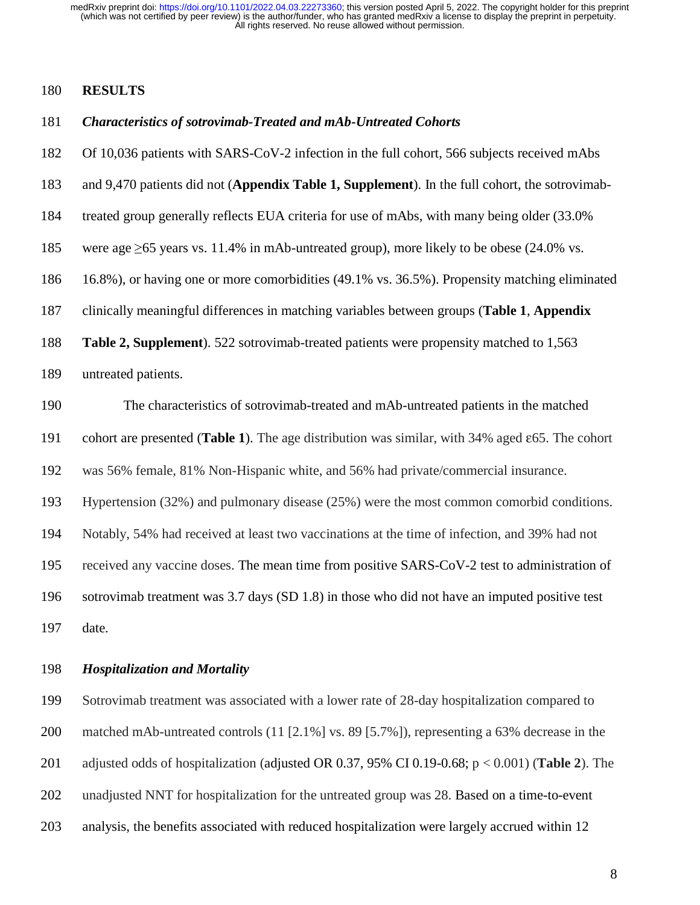#### 180 **RESULTS**

#### 181 *Characteristics of sotrovimab-Treated and mAb-Untreated Cohorts*

- 182 Of 10,036 patients with SARS-CoV-2 infection in the full cohort, 566 subjects received mAbs
- 183 and 9,470 patients did not (**Appendix Table 1, Supplement**). In the full cohort, the sotrovimab-
- 184 treated group generally reflects EUA criteria for use of mAbs, with many being older (33.0%
- 185 were age ≥65 years vs. 11.4% in mAb-untreated group), more likely to be obese (24.0% vs.
- 186 16.8%), or having one or more comorbidities (49.1% vs. 36.5%). Propensity matching eliminated
- 187 clinically meaningful differences in matching variables between groups (**Table 1**, **Appendix**
- 188 **Table 2, Supplement**). 522 sotrovimab-treated patients were propensity matched to 1,563
- 189 untreated patients.

190 The characteristics of sotrovimab-treated and mAb-untreated patients in the matched

191 cohort are presented (**Table 1**). The age distribution was similar, with 34% aged ε65. The cohort

192 was 56% female, 81% Non-Hispanic white, and 56% had private/commercial insurance.

193 Hypertension (32%) and pulmonary disease (25%) were the most common comorbid conditions.

194 Notably, 54% had received at least two vaccinations at the time of infection, and 39% had not

195 received any vaccine doses. The mean time from positive SARS-CoV-2 test to administration of

196 sotrovimab treatment was 3.7 days (SD 1.8) in those who did not have an imputed positive test 197 date.

#### 198 *Hospitalization and Mortality*

199 Sotrovimab treatment was associated with a lower rate of 28-day hospitalization compared to 200 matched mAb-untreated controls (11 [2.1%] vs. 89 [5.7%]), representing a 63% decrease in the 201 adjusted odds of hospitalization (adjusted OR 0.37, 95% CI 0.19-0.68; p < 0.001) (**Table 2**). The 202 unadjusted NNT for hospitalization for the untreated group was 28. Based on a time-to-event 203 analysis, the benefits associated with reduced hospitalization were largely accrued within 12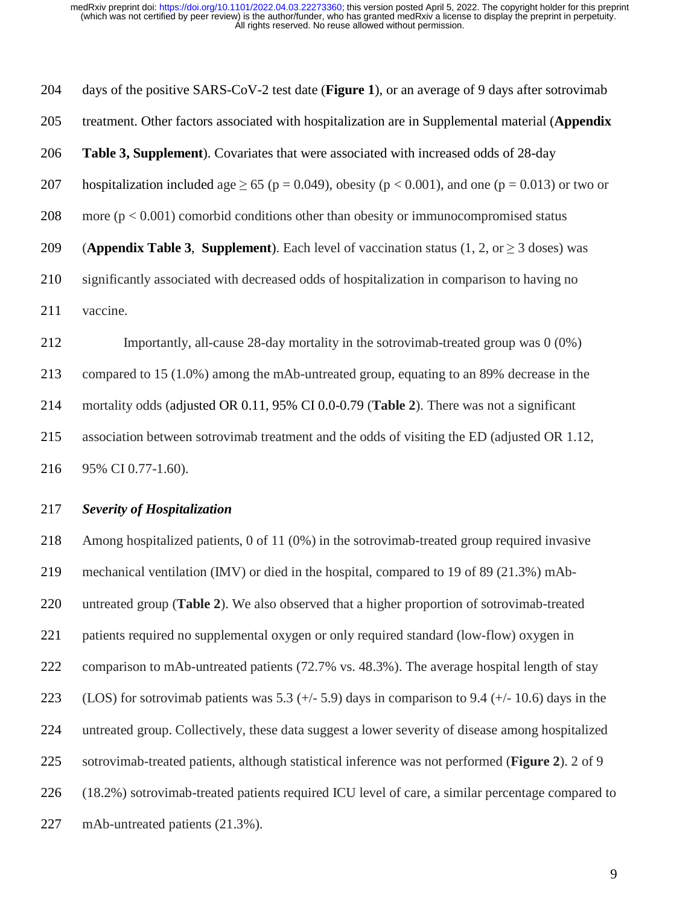204 days of the positive SARS-CoV-2 test date (**Figure 1**), or an average of 9 days after sotrovimab 205 treatment. Other factors associated with hospitalization are in Supplemental material (**Appendix**  206 **Table 3, Supplement**). Covariates that were associated with increased odds of 28-day 207 hospitalization included age  $\geq 65$  (p = 0.049), obesity (p < 0.001), and one (p = 0.013) or two or 208 more ( $p < 0.001$ ) comorbid conditions other than obesity or immunocompromised status 209 (**Appendix Table 3**, **Supplement**). Each level of vaccination status  $(1, 2, \text{ or } \ge 3 \text{ doses})$  was 210 significantly associated with decreased odds of hospitalization in comparison to having no 211 vaccine. 212 Importantly, all-cause 28-day mortality in the sotrovimab-treated group was 0 (0%) 213 compared to 15 (1.0%) among the mAb-untreated group, equating to an 89% decrease in the 214 mortality odds (adjusted OR 0.11, 95% CI 0.0-0.79 (**Table 2**). There was not a significant 215 association between sotrovimab treatment and the odds of visiting the ED (adjusted OR 1.12, 216 95% CI 0.77-1.60).

### 217 *Severity of Hospitalization*

218 Among hospitalized patients, 0 of 11 (0%) in the sotrovimab-treated group required invasive 219 mechanical ventilation (IMV) or died in the hospital, compared to 19 of 89 (21.3%) mAb-220 untreated group (**Table 2**). We also observed that a higher proportion of sotrovimab-treated 221 patients required no supplemental oxygen or only required standard (low-flow) oxygen in 222 comparison to mAb-untreated patients (72.7% vs. 48.3%). The average hospital length of stay 223 (LOS) for sotrovimab patients was  $5.3$  (+/- 5.9) days in comparison to 9.4 (+/- 10.6) days in the 224 untreated group. Collectively, these data suggest a lower severity of disease among hospitalized 225 sotrovimab-treated patients, although statistical inference was not performed (**Figure 2**). 2 of 9 226 (18.2%) sotrovimab-treated patients required ICU level of care, a similar percentage compared to 227 mAb-untreated patients (21.3%).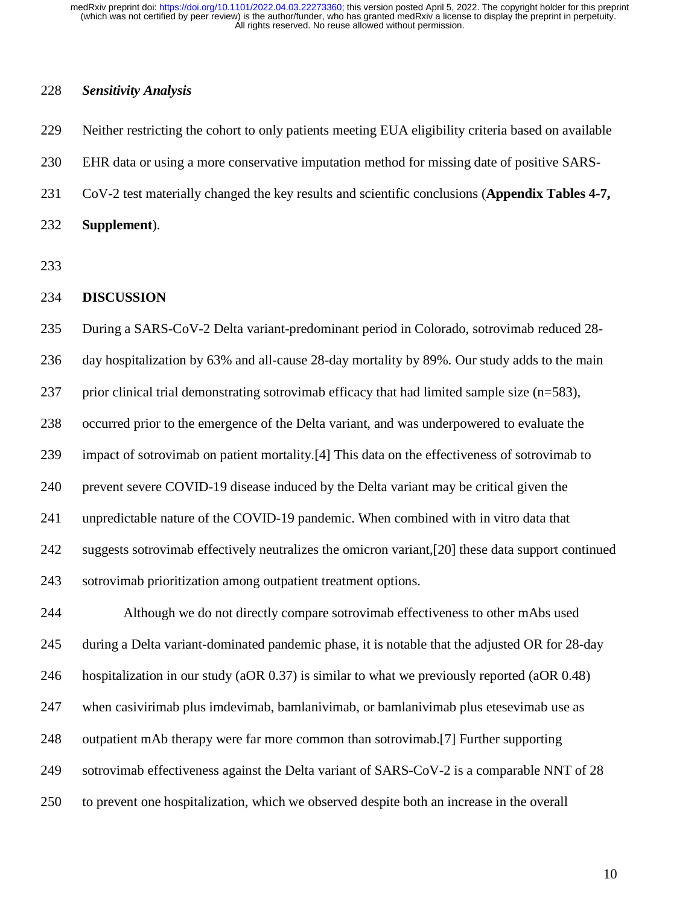#### 228 *Sensitivity Analysis*

229 Neither restricting the cohort to only patients meeting EUA eligibility criteria based on available 230 EHR data or using a more conservative imputation method for missing date of positive SARS-231 CoV-2 test materially changed the key results and scientific conclusions (**Appendix Tables 4-7,**  232 **Supplement**). 233 234 **DISCUSSION** 235 During a SARS-CoV-2 Delta variant-predominant period in Colorado, sotrovimab reduced 28- 236 day hospitalization by 63% and all-cause 28-day mortality by 89%. Our study adds to the main 237 prior clinical trial demonstrating sotrovimab efficacy that had limited sample size (n=583), 238 occurred prior to the emergence of the Delta variant, and was underpowered to evaluate the 239 impact of sotrovimab on patient mortality.[4] This data on the effectiveness of sotrovimab to 240 prevent severe COVID-19 disease induced by the Delta variant may be critical given the 241 unpredictable nature of the COVID-19 pandemic. When combined with in vitro data that 242 suggests sotrovimab effectively neutralizes the omicron variant,[20] these data support continued 243 sotrovimab prioritization among outpatient treatment options. 244 Although we do not directly compare sotrovimab effectiveness to other mAbs used 245 during a Delta variant-dominated pandemic phase, it is notable that the adjusted OR for 28-day

246 hospitalization in our study (aOR 0.37) is similar to what we previously reported (aOR 0.48)

247 when casivirimab plus imdevimab, bamlanivimab, or bamlanivimab plus etesevimab use as

- 248 outpatient mAb therapy were far more common than sotrovimab.[7] Further supporting
- 249 sotrovimab effectiveness against the Delta variant of SARS-CoV-2 is a comparable NNT of 28
- 250 to prevent one hospitalization, which we observed despite both an increase in the overall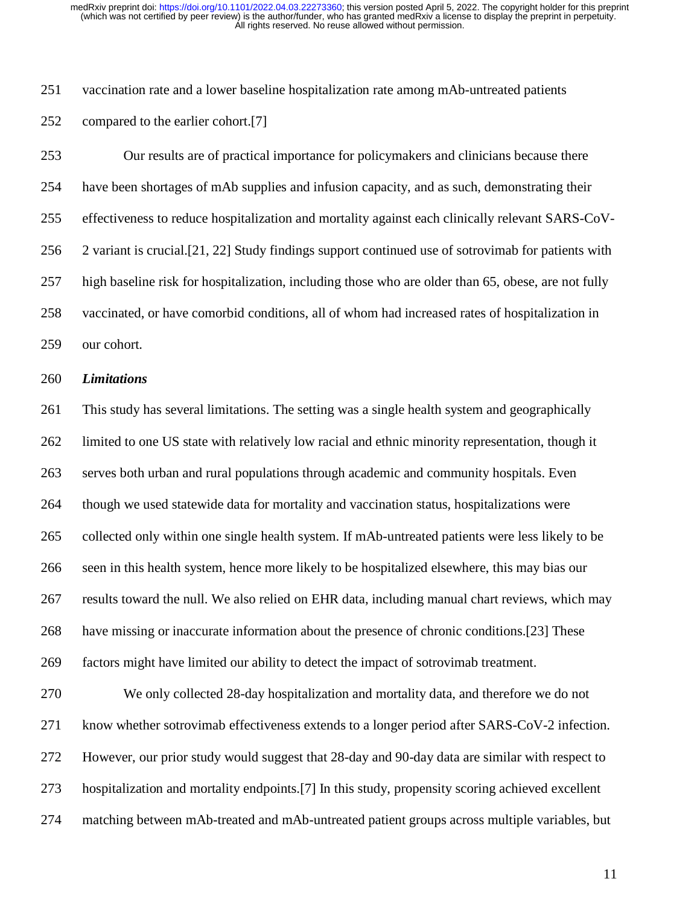251 vaccination rate and a lower baseline hospitalization rate among mAb-untreated patients

252 compared to the earlier cohort.[7]

253 Our results are of practical importance for policymakers and clinicians because there 254 have been shortages of mAb supplies and infusion capacity, and as such, demonstrating their 255 effectiveness to reduce hospitalization and mortality against each clinically relevant SARS-CoV-256 2 variant is crucial.[21, 22] Study findings support continued use of sotrovimab for patients with 257 high baseline risk for hospitalization, including those who are older than 65, obese, are not fully 258 vaccinated, or have comorbid conditions, all of whom had increased rates of hospitalization in 259 our cohort.

#### 260 *Limitations*

261 This study has several limitations. The setting was a single health system and geographically 262 limited to one US state with relatively low racial and ethnic minority representation, though it 263 serves both urban and rural populations through academic and community hospitals. Even 264 though we used statewide data for mortality and vaccination status, hospitalizations were 265 collected only within one single health system. If mAb-untreated patients were less likely to be 266 seen in this health system, hence more likely to be hospitalized elsewhere, this may bias our 267 results toward the null. We also relied on EHR data, including manual chart reviews, which may 268 have missing or inaccurate information about the presence of chronic conditions.[23] These 269 factors might have limited our ability to detect the impact of sotrovimab treatment.

270 We only collected 28-day hospitalization and mortality data, and therefore we do not 271 know whether sotrovimab effectiveness extends to a longer period after SARS-CoV-2 infection. 272 However, our prior study would suggest that 28-day and 90-day data are similar with respect to 273 hospitalization and mortality endpoints.[7] In this study, propensity scoring achieved excellent 274 matching between mAb-treated and mAb-untreated patient groups across multiple variables, but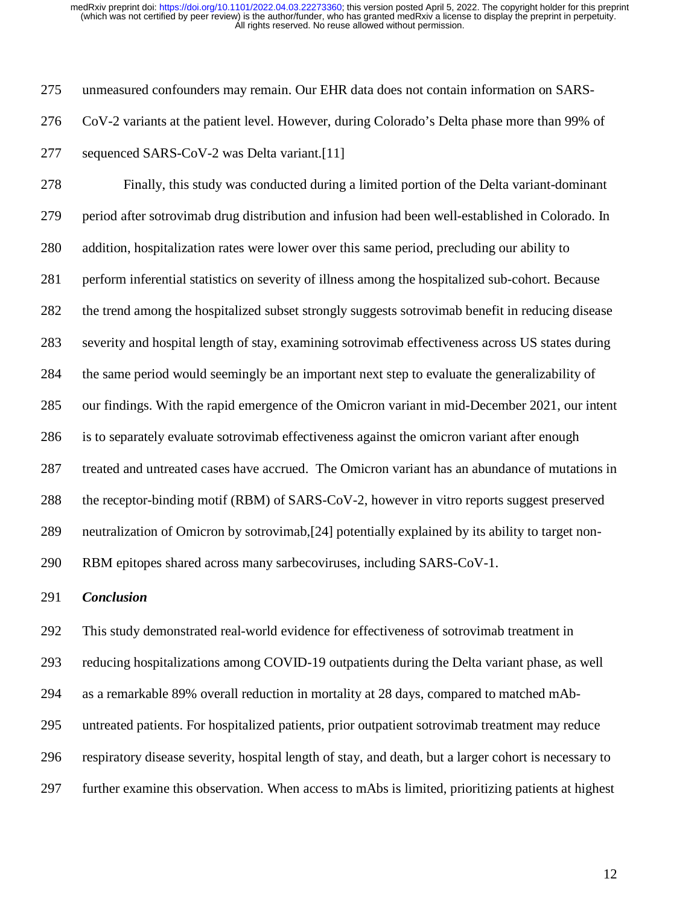275 unmeasured confounders may remain. Our EHR data does not contain information on SARS-276 CoV-2 variants at the patient level. However, during Colorado's Delta phase more than 99% of 277 sequenced SARS-CoV-2 was Delta variant.[11]

278 Finally, this study was conducted during a limited portion of the Delta variant-dominant 279 period after sotrovimab drug distribution and infusion had been well-established in Colorado. In 280 addition, hospitalization rates were lower over this same period, precluding our ability to 281 perform inferential statistics on severity of illness among the hospitalized sub-cohort. Because 282 the trend among the hospitalized subset strongly suggests sotrovimab benefit in reducing disease 283 severity and hospital length of stay, examining sotrovimab effectiveness across US states during 284 the same period would seemingly be an important next step to evaluate the generalizability of 285 our findings. With the rapid emergence of the Omicron variant in mid-December 2021, our intent 286 is to separately evaluate sotrovimab effectiveness against the omicron variant after enough 287 treated and untreated cases have accrued. The Omicron variant has an abundance of mutations in 288 the receptor-binding motif (RBM) of SARS-CoV-2, however in vitro reports suggest preserved 289 neutralization of Omicron by sotrovimab,[24] potentially explained by its ability to target non-290 RBM epitopes shared across many sarbecoviruses, including SARS-CoV-1.

#### 291 *Conclusion*

292 This study demonstrated real-world evidence for effectiveness of sotrovimab treatment in 293 reducing hospitalizations among COVID-19 outpatients during the Delta variant phase, as well 294 as a remarkable 89% overall reduction in mortality at 28 days, compared to matched mAb-295 untreated patients. For hospitalized patients, prior outpatient sotrovimab treatment may reduce 296 respiratory disease severity, hospital length of stay, and death, but a larger cohort is necessary to 297 further examine this observation. When access to mAbs is limited, prioritizing patients at highest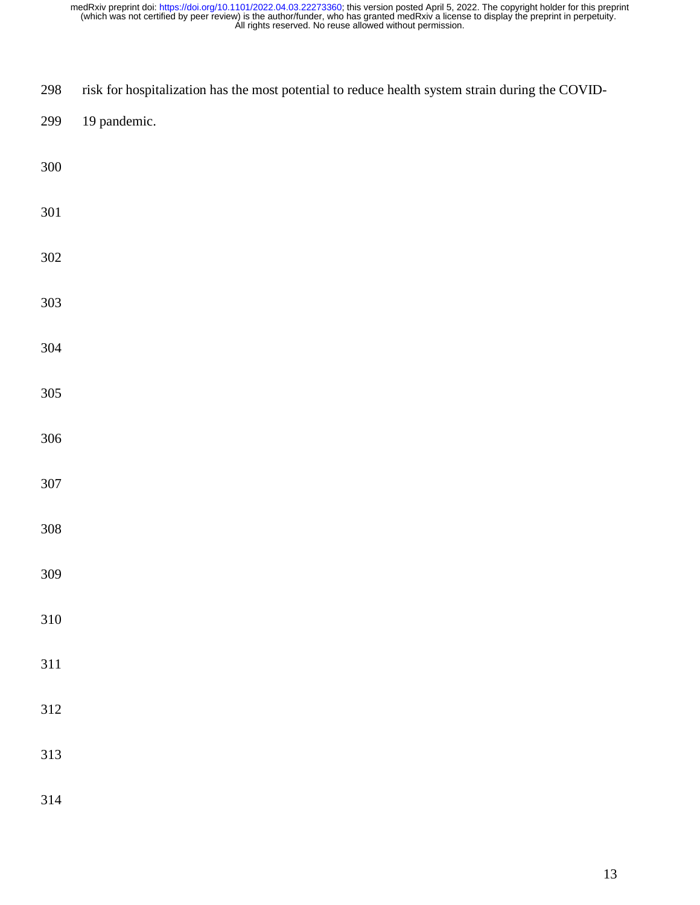| 298     | risk for hospitalization has the most potential to reduce health system strain during the COVID- |
|---------|--------------------------------------------------------------------------------------------------|
| 299     | 19 pandemic.                                                                                     |
| 300     |                                                                                                  |
| 301     |                                                                                                  |
| $302\,$ |                                                                                                  |
| 303     |                                                                                                  |
| 304     |                                                                                                  |
| 305     |                                                                                                  |
| 306     |                                                                                                  |
| $307\,$ |                                                                                                  |
| 308     |                                                                                                  |
| 309     |                                                                                                  |
| 310     |                                                                                                  |
| 311     |                                                                                                  |
| 312     |                                                                                                  |
| 313     |                                                                                                  |
| 314     |                                                                                                  |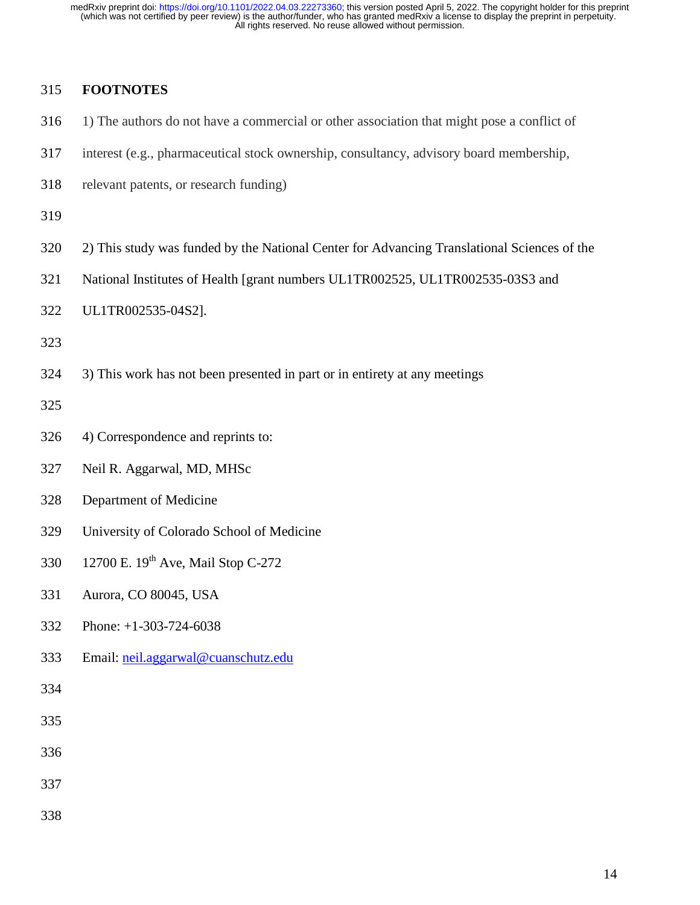## 315 **FOOTNOTES**

- 316 1) The authors do not have a commercial or other association that might pose a conflict of
- 317 interest (e.g., pharmaceutical stock ownership, consultancy, advisory board membership,
- 318 relevant patents, or research funding)

319

- 320 2) This study was funded by the National Center for Advancing Translational Sciences of the
- 321 National Institutes of Health [grant numbers UL1TR002525, UL1TR002535-03S3 and
- 322 UL1TR002535-04S2].

323

324 3) This work has not been presented in part or in entirety at any meetings

325

- 326 4) Correspondence and reprints to:
- 327 Neil R. Aggarwal, MD, MHSc
- 328 Department of Medicine
- 329 University of Colorado School of Medicine
- 330 12700 E. 19<sup>th</sup> Ave, Mail Stop C-272
- 331 Aurora, CO 80045, USA
- 332 Phone: +1-303-724-6038
- 333 Email: neil.aggarwal@cuanschutz.edu

- 335
- 336
- 337
- 338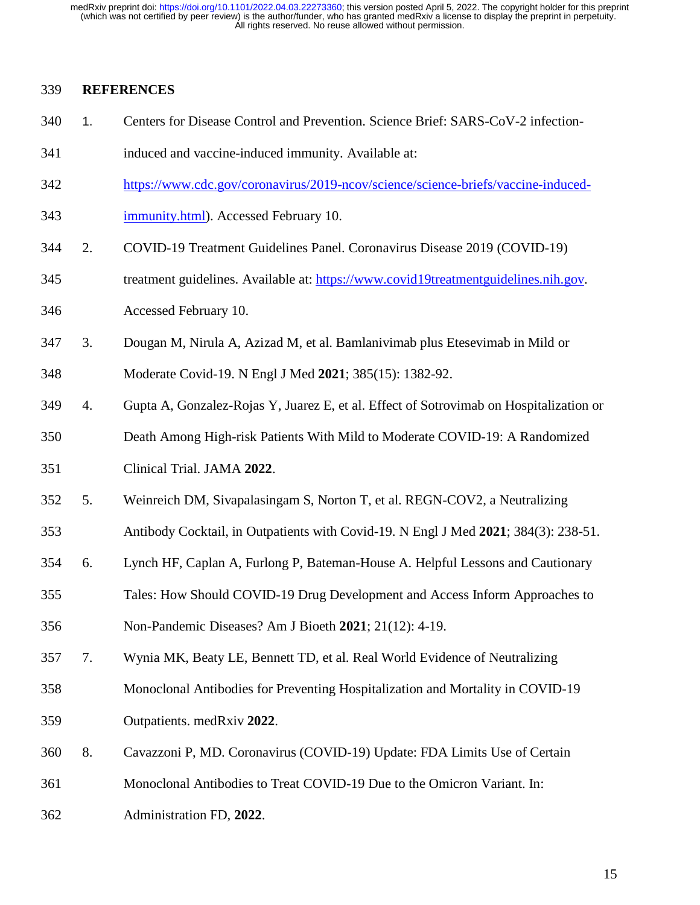#### 339 **REFERENCES**

- 340 1. Centers for Disease Control and Prevention. Science Brief: SARS-CoV-2 infection-
- 341 induced and vaccine-induced immunity. Available at:
- 342 https://www.cdc.gov/coronavirus/2019-ncov/science/science-briefs/vaccine-induced-
- 343 immunity.html). Accessed February 10.
- 344 2. COVID-19 Treatment Guidelines Panel. Coronavirus Disease 2019 (COVID-19)
- 345 treatment guidelines. Available at: https://www.covid19treatmentguidelines.nih.gov. 346 Accessed February 10.
- 347 3. Dougan M, Nirula A, Azizad M, et al. Bamlanivimab plus Etesevimab in Mild or
- 348 Moderate Covid-19. N Engl J Med **2021**; 385(15): 1382-92.
- 349 4. Gupta A, Gonzalez-Rojas Y, Juarez E, et al. Effect of Sotrovimab on Hospitalization or
- 350 Death Among High-risk Patients With Mild to Moderate COVID-19: A Randomized
- 351 Clinical Trial. JAMA **2022**.
- 352 5. Weinreich DM, Sivapalasingam S, Norton T, et al. REGN-COV2, a Neutralizing
- 353 Antibody Cocktail, in Outpatients with Covid-19. N Engl J Med **2021**; 384(3): 238-51.
- 354 6. Lynch HF, Caplan A, Furlong P, Bateman-House A. Helpful Lessons and Cautionary
- 355 Tales: How Should COVID-19 Drug Development and Access Inform Approaches to
- 356 Non-Pandemic Diseases? Am J Bioeth **2021**; 21(12): 4-19.
- 357 7. Wynia MK, Beaty LE, Bennett TD, et al. Real World Evidence of Neutralizing
- 358 Monoclonal Antibodies for Preventing Hospitalization and Mortality in COVID-19
- 359 Outpatients. medRxiv **2022**.
- 360 8. Cavazzoni P, MD. Coronavirus (COVID-19) Update: FDA Limits Use of Certain
- 361 Monoclonal Antibodies to Treat COVID-19 Due to the Omicron Variant. In:
- 362 Administration FD, **2022**.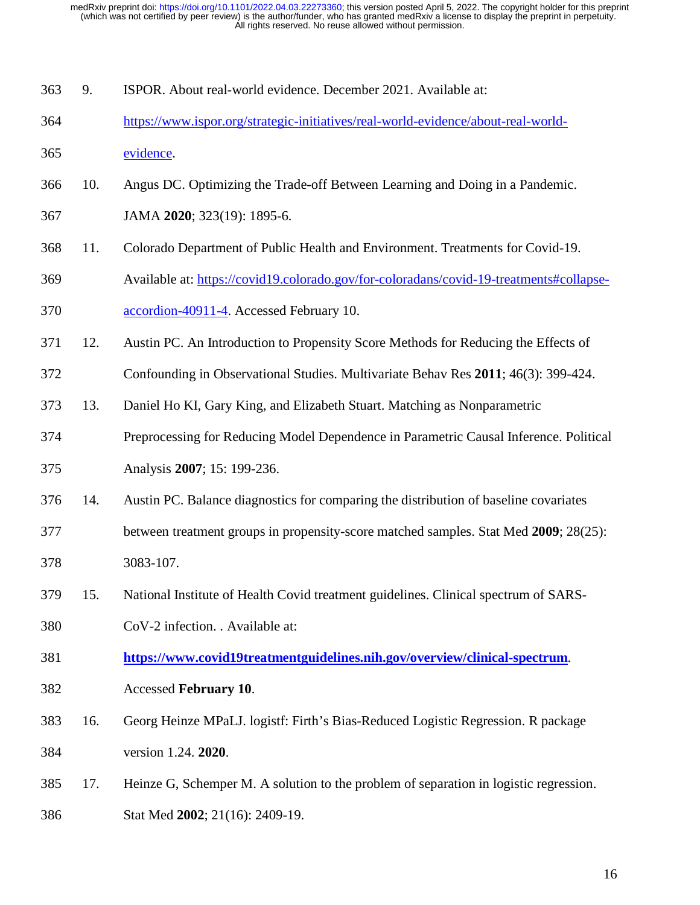| 363<br>ISPOR. About real-world evidence. December 2021. Available at: |  |
|-----------------------------------------------------------------------|--|
|-----------------------------------------------------------------------|--|

- 364 https://www.ispor.org/strategic-initiatives/real-world-evidence/about-real-world-
- 365 evidence.
- 366 10. Angus DC. Optimizing the Trade-off Between Learning and Doing in a Pandemic.
- 367 JAMA **2020**; 323(19): 1895-6.
- 368 11. Colorado Department of Public Health and Environment. Treatments for Covid-19.
- 369 Available at: https://covid19.colorado.gov/for-coloradans/covid-19-treatments#collapse-370 accordion-40911-4. Accessed February 10.
- 
- 371 12. Austin PC. An Introduction to Propensity Score Methods for Reducing the Effects of
- 372 Confounding in Observational Studies. Multivariate Behav Res **2011**; 46(3): 399-424.
- 373 13. Daniel Ho KI, Gary King, and Elizabeth Stuart. Matching as Nonparametric
- 374 Preprocessing for Reducing Model Dependence in Parametric Causal Inference. Political 375 Analysis **2007**; 15: 199-236.
- 376 14. Austin PC. Balance diagnostics for comparing the distribution of baseline covariates
- 377 between treatment groups in propensity-score matched samples. Stat Med **2009**; 28(25): 378 3083-107.
- 379 15. National Institute of Health Covid treatment guidelines. Clinical spectrum of SARS-
- 380 CoV-2 infection. . Available at:
- 381 **https://www.covid19treatmentguidelines.nih.gov/overview/clinical-spectrum**.
- 382 Accessed **February 10**.
- 383 16. Georg Heinze MPaLJ. logistf: Firth's Bias-Reduced Logistic Regression. R package 384 version 1.24. **2020**.
- 385 17. Heinze G, Schemper M. A solution to the problem of separation in logistic regression.
- 386 Stat Med **2002**; 21(16): 2409-19.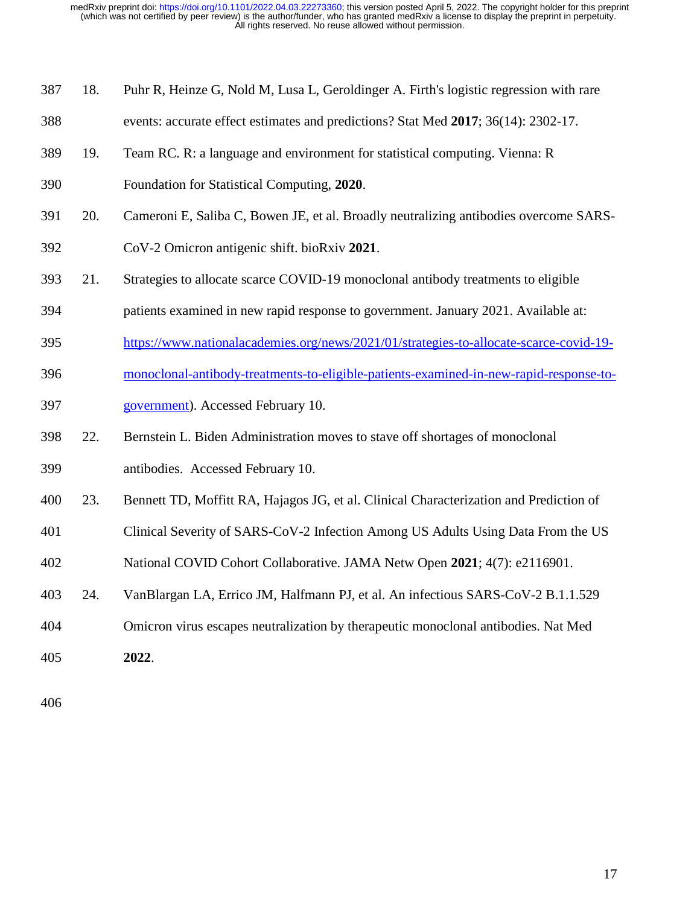- 387 18. Puhr R, Heinze G, Nold M, Lusa L, Geroldinger A. Firth's logistic regression with rare
- 388 events: accurate effect estimates and predictions? Stat Med **2017**; 36(14): 2302-17.
- 389 19. Team RC. R: a language and environment for statistical computing. Vienna: R
- 390 Foundation for Statistical Computing, **2020**.
- 391 20. Cameroni E, Saliba C, Bowen JE, et al. Broadly neutralizing antibodies overcome SARS-
- 392 CoV-2 Omicron antigenic shift. bioRxiv **2021**.
- 393 21. Strategies to allocate scarce COVID-19 monoclonal antibody treatments to eligible
- 394 patients examined in new rapid response to government. January 2021. Available at:
- 395 https://www.nationalacademies.org/news/2021/01/strategies-to-allocate-scarce-covid-19-
- 396 monoclonal-antibody-treatments-to-eligible-patients-examined-in-new-rapid-response-to-
- 397 government). Accessed February 10.
- 398 22. Bernstein L. Biden Administration moves to stave off shortages of monoclonal
- 399 antibodies. Accessed February 10.
- 400 23. Bennett TD, Moffitt RA, Hajagos JG, et al. Clinical Characterization and Prediction of
- 401 Clinical Severity of SARS-CoV-2 Infection Among US Adults Using Data From the US
- 402 National COVID Cohort Collaborative. JAMA Netw Open **2021**; 4(7): e2116901.
- 403 24. VanBlargan LA, Errico JM, Halfmann PJ, et al. An infectious SARS-CoV-2 B.1.1.529
- 404 Omicron virus escapes neutralization by therapeutic monoclonal antibodies. Nat Med
- 405 **2022**.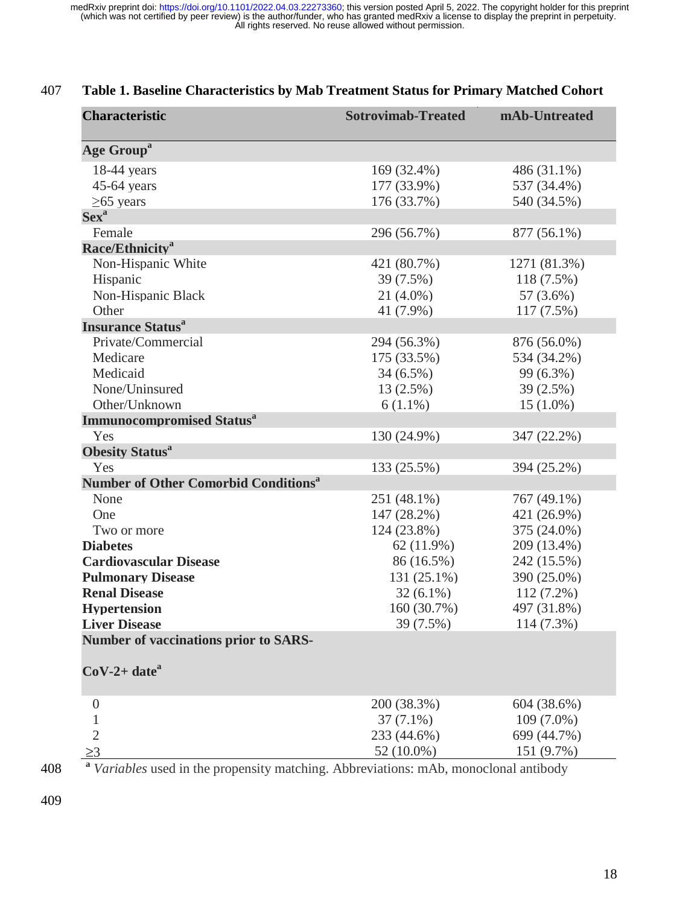| <b>Characteristic</b>                            | <b>Sotrovimab-Treated</b> | mAb-Untreated |
|--------------------------------------------------|---------------------------|---------------|
| <b>Age Group<sup>a</sup></b>                     |                           |               |
| $18-44$ years                                    | 169 (32.4%)               | 486 (31.1%)   |
| $45-64$ years                                    | 177 (33.9%)               | 537 (34.4%)   |
| $\geq$ 65 years                                  | 176 (33.7%)               | 540 (34.5%)   |
| Sex <sup>a</sup>                                 |                           |               |
| Female                                           | 296 (56.7%)               | 877 (56.1%)   |
| Race/Ethnicity <sup>a</sup>                      |                           |               |
| Non-Hispanic White                               | 421 (80.7%)               | 1271 (81.3%)  |
| Hispanic                                         | 39 (7.5%)                 | 118 (7.5%)    |
| Non-Hispanic Black                               | $21(4.0\%)$               | 57 (3.6%)     |
| Other                                            | 41 (7.9%)                 | 117(7.5%)     |
| <b>Insurance Status<sup>a</sup></b>              |                           |               |
| Private/Commercial                               | 294 (56.3%)               | 876 (56.0%)   |
| Medicare                                         | 175 (33.5%)               | 534 (34.2%)   |
| Medicaid                                         | $34(6.5\%)$               | 99 (6.3%)     |
| None/Uninsured                                   | 13 (2.5%)                 | $39(2.5\%)$   |
| Other/Unknown                                    | $6(1.1\%)$                | $15(1.0\%)$   |
| <b>Immunocompromised Status<sup>a</sup></b>      |                           |               |
| Yes                                              | 130 (24.9%)               | 347 (22.2%)   |
| <b>Obesity Status<sup>a</sup></b>                |                           |               |
| Yes                                              | 133 (25.5%)               | 394 (25.2%)   |
| Number of Other Comorbid Conditions <sup>a</sup> |                           |               |
| None                                             | 251 (48.1%)               | 767 (49.1%)   |
| One                                              | 147 (28.2%)               | 421 (26.9%)   |
| Two or more                                      | 124 (23.8%)               | 375 (24.0%)   |
| <b>Diabetes</b>                                  | 62(11.9%)                 | 209 (13.4%)   |
| <b>Cardiovascular Disease</b>                    | 86 (16.5%)                | 242 (15.5%)   |
| <b>Pulmonary Disease</b>                         | 131 (25.1%)               | 390 (25.0%)   |
| <b>Renal Disease</b>                             | $32(6.1\%)$               | $112(7.2\%)$  |
| <b>Hypertension</b>                              | 160 (30.7%)               | 497 (31.8%)   |
| <b>Liver Disease</b>                             | 39 (7.5%)                 | 114 (7.3%)    |
| <b>Number of vaccinations prior to SARS-</b>     |                           |               |
|                                                  |                           |               |
| $CoV-2+date^a$                                   |                           |               |
| $\theta$                                         | 200 (38.3%)               | 604 (38.6%)   |
| 1                                                | $37(7.1\%)$               | $109(7.0\%)$  |
| $\overline{2}$                                   | 233 (44.6%)               | 699 (44.7%)   |
| $\geq$ 3                                         | 52 (10.0%)                | 151 (9.7%)    |

# 407 **Table 1. Baseline Characteristics by Mab Treatment Status for Primary Matched Cohort**

**<sup>a</sup>** 408 *Variables* used in the propensity matching. Abbreviations: mAb, monoclonal antibody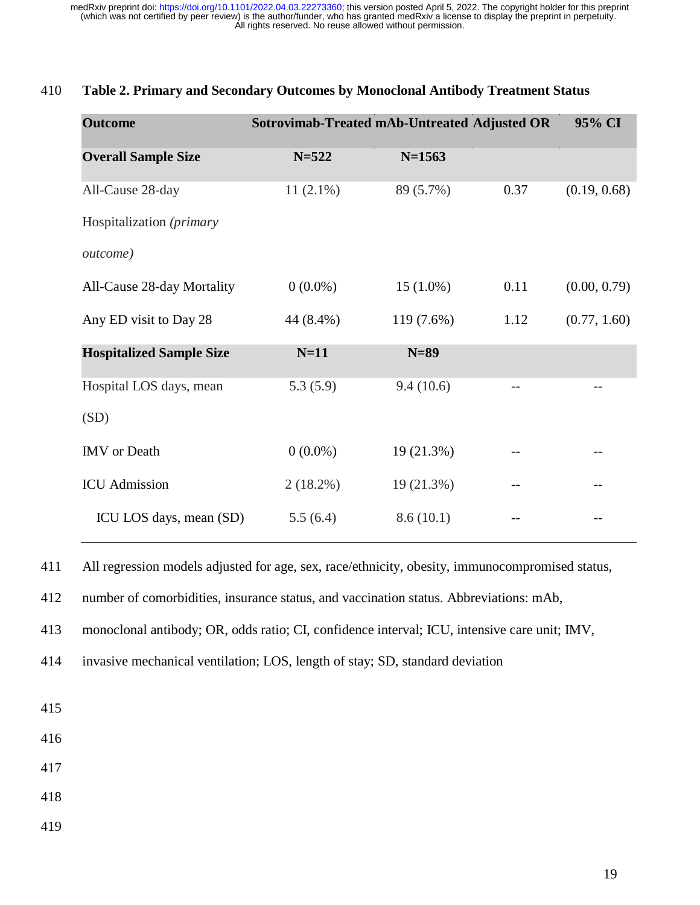| <b>Outcome</b>                  |             | Sotrovimab-Treated mAb-Untreated Adjusted OR |                   | 95% CI       |
|---------------------------------|-------------|----------------------------------------------|-------------------|--------------|
| <b>Overall Sample Size</b>      | $N = 522$   | $N = 1563$                                   |                   |              |
| All-Cause 28-day                | $11(2.1\%)$ | 89 (5.7%)                                    | 0.37              | (0.19, 0.68) |
| Hospitalization (primary        |             |                                              |                   |              |
| <i>outcome</i> )                |             |                                              |                   |              |
| All-Cause 28-day Mortality      | $0(0.0\%)$  | $15(1.0\%)$                                  | 0.11              | (0.00, 0.79) |
| Any ED visit to Day 28          | 44 (8.4%)   | 119 (7.6%)                                   | 1.12              | (0.77, 1.60) |
| <b>Hospitalized Sample Size</b> | $N=11$      | $N=89$                                       |                   |              |
| Hospital LOS days, mean         | 5.3(5.9)    | 9.4(10.6)                                    | $\qquad \qquad -$ |              |
| (SD)                            |             |                                              |                   |              |
| IMV or Death                    | $0(0.0\%)$  | 19 (21.3%)                                   |                   |              |
| <b>ICU</b> Admission            | $2(18.2\%)$ | 19 (21.3%)                                   |                   |              |
| ICU LOS days, mean (SD)         | 5.5(6.4)    | 8.6(10.1)                                    |                   |              |

## 410 **Table 2. Primary and Secondary Outcomes by Monoclonal Antibody Treatment Status**

411 All regression models adjusted for age, sex, race/ethnicity, obesity, immunocompromised status,

412 number of comorbidities, insurance status, and vaccination status. Abbreviations: mAb,

413 monoclonal antibody; OR, odds ratio; CI, confidence interval; ICU, intensive care unit; IMV,

414 invasive mechanical ventilation; LOS, length of stay; SD, standard deviation

415

416

417

418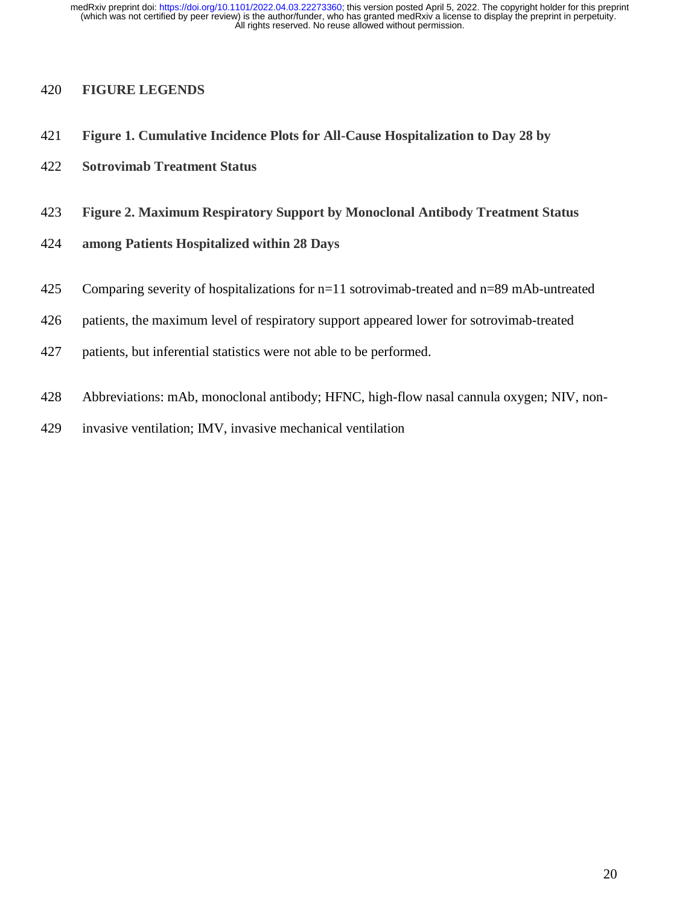### 420 **FIGURE LEGENDS**

- 421 **Figure 1. Cumulative Incidence Plots for All-Cause Hospitalization to Day 28 by**
- 422 **Sotrovimab Treatment Status**
- 423 **Figure 2. Maximum Respiratory Support by Monoclonal Antibody Treatment Status**
- 424 **among Patients Hospitalized within 28 Days**
- 425 Comparing severity of hospitalizations for n=11 sotrovimab-treated and n=89 mAb-untreated
- 426 patients, the maximum level of respiratory support appeared lower for sotrovimab-treated
- 427 patients, but inferential statistics were not able to be performed.
- 428 Abbreviations: mAb, monoclonal antibody; HFNC, high-flow nasal cannula oxygen; NIV, non-
- 429 invasive ventilation; IMV, invasive mechanical ventilation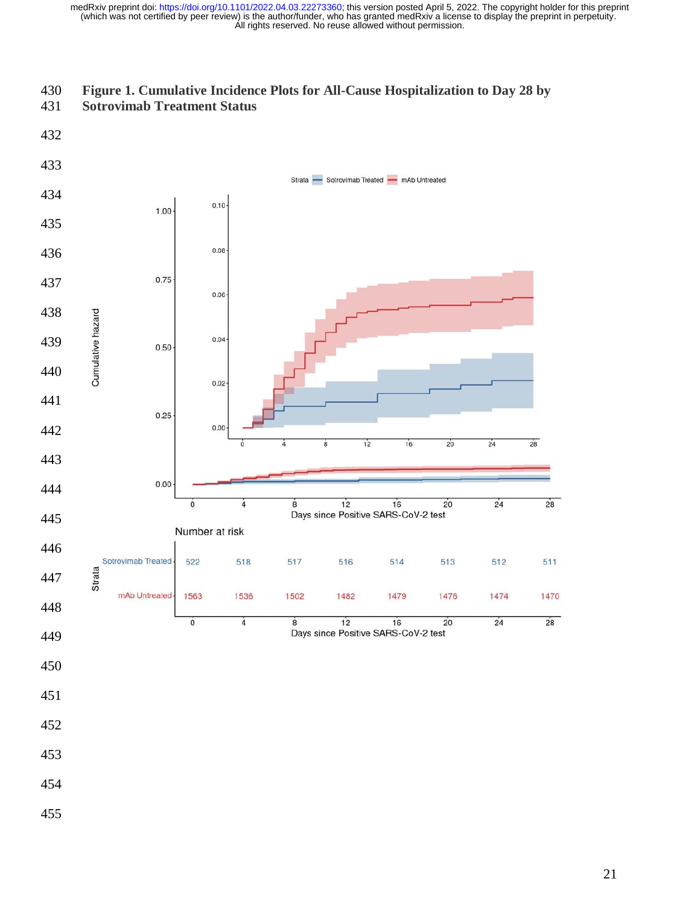

## **Figure 1. Cumulative Incidence Plots for All-Cause Hospitalization to Day 28 by**